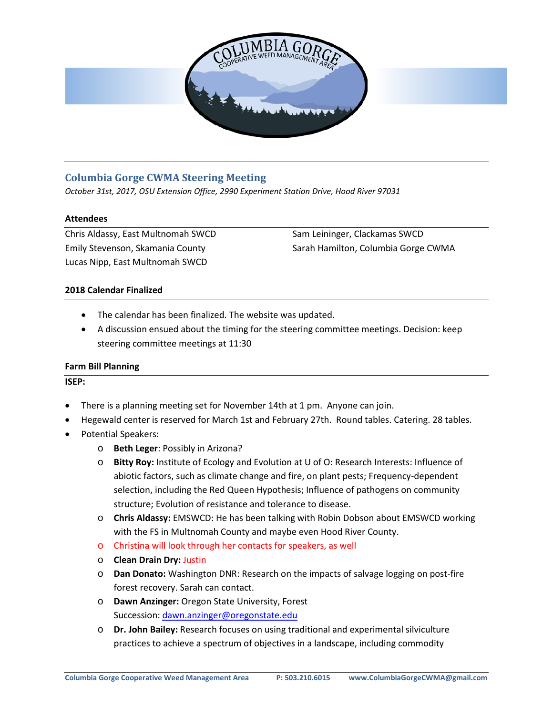

# **Columbia Gorge CWMA Steering Meeting**

*October 31st, 2017, OSU Extension Office, 2990 Experiment Station Drive, Hood River 97031*

### **Attendees**

Chris Aldassy, East Multnomah SWCD Emily Stevenson, Skamania County Lucas Nipp, East Multnomah SWCD

Sam Leininger, Clackamas SWCD Sarah Hamilton, Columbia Gorge CWMA

## **2018 Calendar Finalized**

- The calendar has been finalized. The website was updated.
- A discussion ensued about the timing for the steering committee meetings. Decision: keep steering committee meetings at 11:30

#### **Farm Bill Planning**

**ISEP:**

- There is a planning meeting set for November 14th at 1 pm. Anyone can join.
- Hegewald center is reserved for March 1st and February 27th. Round tables. Catering. 28 tables.
- Potential Speakers:
	- o **Beth Leger**: Possibly in Arizona?
	- o **Bitty Roy:** Institute of Ecology and Evolution at U of O: Research Interests: Influence of abiotic factors, such as climate change and fire, on plant pests; Frequency-dependent selection, including the Red Queen Hypothesis; Influence of pathogens on community structure; Evolution of resistance and tolerance to disease.
	- o **Chris Aldassy:** EMSWCD: He has been talking with Robin Dobson about EMSWCD working with the FS in Multnomah County and maybe even Hood River County.
	- o Christina will look through her contacts for speakers, as well
	- o **Clean Drain Dry:** Justin
	- o **Dan Donato:** Washington DNR: Research on the impacts of salvage logging on post-fire forest recovery. Sarah can contact.
	- o **Dawn Anzinger:** Oregon State University, Forest Succession: [dawn.anzinger@oregonstate.edu](mailto:dawn.anzinger@oregonstate.edu)
	- o **Dr. John Bailey:** Research focuses on using traditional and experimental silviculture practices to achieve a spectrum of objectives in a landscape, including commodity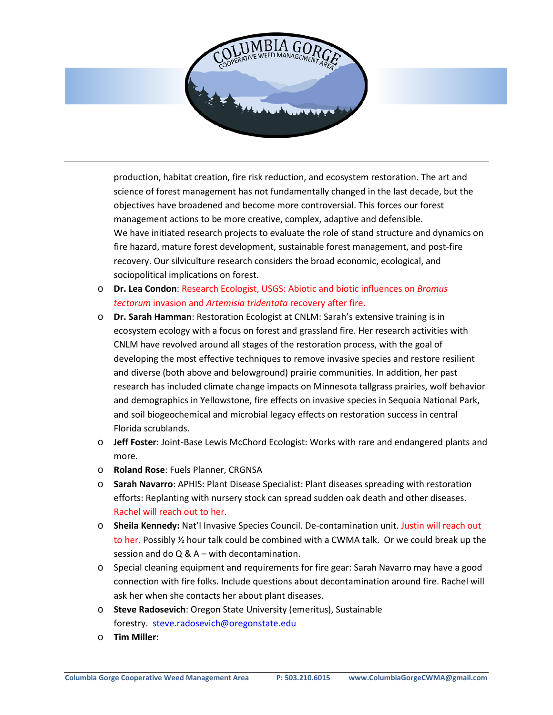

production, habitat creation, fire risk reduction, and ecosystem restoration. The art and science of forest management has not fundamentally changed in the last decade, but the objectives have broadened and become more controversial. This forces our forest management actions to be more creative, complex, adaptive and defensible. We have initiated research projects to evaluate the role of stand structure and dynamics on fire hazard, mature forest development, sustainable forest management, and post-fire recovery. Our silviculture research considers the broad economic, ecological, and sociopolitical implications on forest.

- o **Dr. Lea Condon**: Research Ecologist, USGS: Abiotic and biotic influences on *Bromus tectorum* invasion and *Artemisia tridentata* recovery after fire.
- o **Dr. Sarah Hamman**: Restoration Ecologist at CNLM: Sarah's extensive training is in ecosystem ecology with a focus on forest and grassland fire. Her research activities with CNLM have revolved around all stages of the restoration process, with the goal of developing the most effective techniques to remove invasive species and restore resilient and diverse (both above and belowground) prairie communities. In addition, her past research has included climate change impacts on Minnesota tallgrass prairies, wolf behavior and demographics in Yellowstone, fire effects on invasive species in Sequoia National Park, and soil biogeochemical and microbial legacy effects on restoration success in central Florida scrublands.
- o **Jeff Foster**: Joint-Base Lewis McChord Ecologist: Works with rare and endangered plants and more.
- o **Roland Rose**: Fuels Planner, CRGNSA
- o **Sarah Navarro**: APHIS: Plant Disease Specialist: Plant diseases spreading with restoration efforts: Replanting with nursery stock can spread sudden oak death and other diseases. Rachel will reach out to her.
- o **Sheila Kennedy:** Nat'l Invasive Species Council. De-contamination unit. Justin will reach out to her. Possibly ½ hour talk could be combined with a CWMA talk. Or we could break up the session and do Q & A – with decontamination.
- o Special cleaning equipment and requirements for fire gear: Sarah Navarro may have a good connection with fire folks. Include questions about decontamination around fire. Rachel will ask her when she contacts her about plant diseases.
- o **Steve Radosevich**: Oregon State University (emeritus), Sustainable forestry. [steve.radosevich@oregonstate.edu](mailto:steve.radosevich@oregonstate.edu)
- o **Tim Miller:**